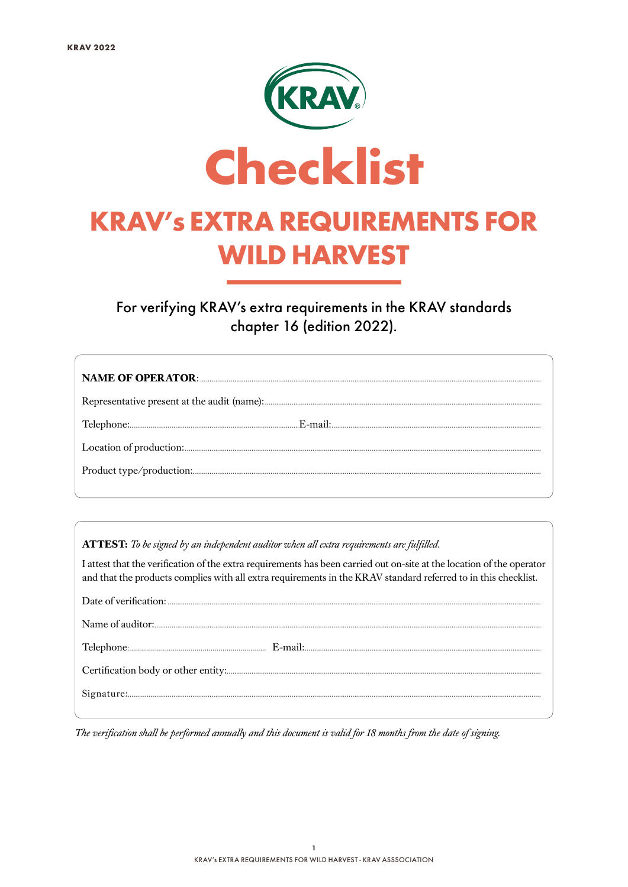

For verifying KRAV's extra requirements in the KRAV standards chapter 16 (edition 2022).

ATTEST: To be signed by an independent auditor when all extra requirements are fulfilled.

I attest that the verification of the extra requirements has been carried out on-site at the location of the operator and that the products complies with all extra requirements in the KRAV standard referred to in this checklist.

The verification shall be performed annually and this document is valid for 18 months from the date of signing.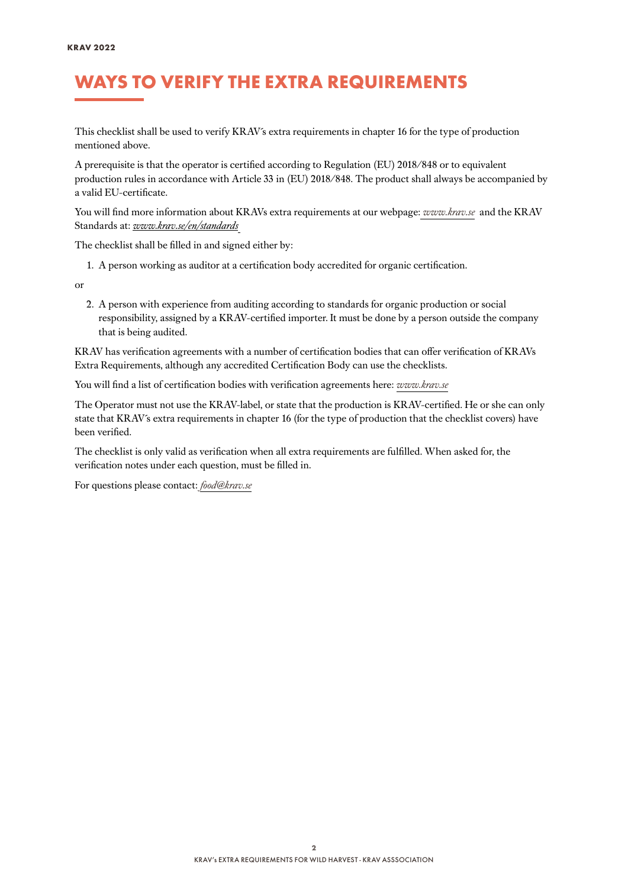## WAYS TO VERIFY THE EXTRA REQUIREMENTS

This checklist shall be used to verify KRAV´s extra requirements in chapter 16 for the type of production mentioned above.

A prerequisite is that the operator is certified according to Regulation (EU) 2018/848 or to equivalent production rules in accordance with Article 33 in (EU) 2018/848. The product shall always be accompanied by a valid EU-certificate.

You will find more information about KRAVs extra requirements at our webpage: *[www.krav.se](www.krav.se/en/for-companies/extra-requirements-for-all-products/)* and the KRAV Standards at: *[www.krav.se/en/standards](https://www.krav.se/en/standards)*

The checklist shall be filled in and signed either by:

1. A person working as auditor at a certification body accredited for organic certification.

or

2. A person with experience from auditing according to standards for organic production or social responsibility, assigned by a KRAV-certified importer. It must be done by a person outside the company that is being audited.

KRAV has verification agreements with a number of certification bodies that can offer verification of KRAVs Extra Requirements, although any accredited Certification Body can use the checklists.

You will find a list of certification bodies with verification agreements here: *[www.krav.se](https://www.krav.se/en/asset/certification-bodies-with-verification-agreement/)*

The Operator must not use the KRAV-label, or state that the production is KRAV-certified. He or she can only state that KRAV´s extra requirements in chapter 16 (for the type of production that the checklist covers) have been verified.

The checklist is only valid as verification when all extra requirements are fulfilled. When asked for, the verification notes under each question, must be filled in.

For questions please contact: *[food@krav.se](mailto:food%40krav.se?subject=From%20extra%20requirements)*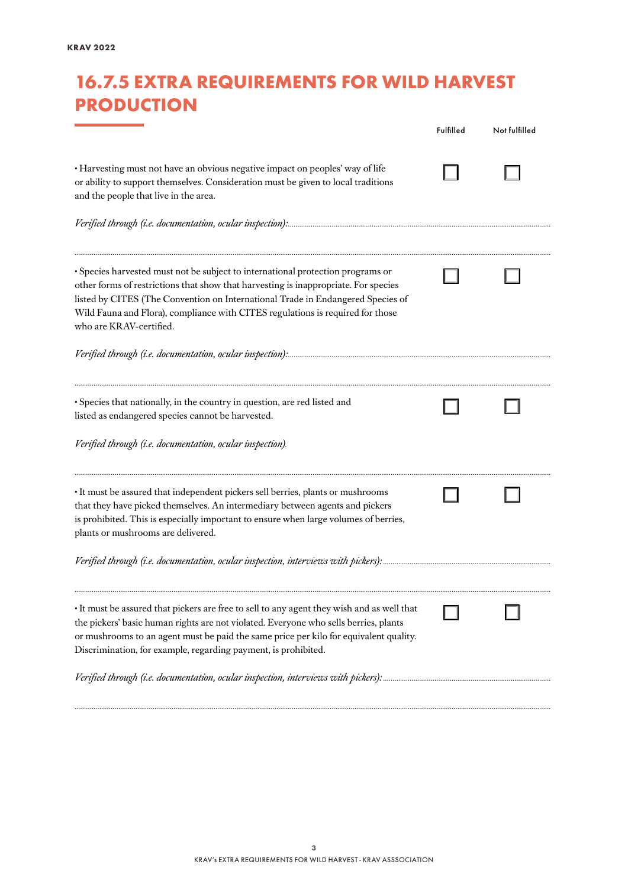## 16.7.5 EXTRA REQUIREMENTS FOR WILD HARVEST **PRODUCTION**

|                                                                                                                                                                                                                                                                                                                                                                        | Fulfilled | Not fulfilled |
|------------------------------------------------------------------------------------------------------------------------------------------------------------------------------------------------------------------------------------------------------------------------------------------------------------------------------------------------------------------------|-----------|---------------|
| · Harvesting must not have an obvious negative impact on peoples' way of life<br>or ability to support themselves. Consideration must be given to local traditions<br>and the people that live in the area.                                                                                                                                                            |           |               |
| · Species harvested must not be subject to international protection programs or<br>other forms of restrictions that show that harvesting is inappropriate. For species<br>listed by CITES (The Convention on International Trade in Endangered Species of<br>Wild Fauna and Flora), compliance with CITES regulations is required for those<br>who are KRAV-certified. |           |               |
|                                                                                                                                                                                                                                                                                                                                                                        |           |               |
| · Species that nationally, in the country in question, are red listed and<br>listed as endangered species cannot be harvested.                                                                                                                                                                                                                                         |           |               |
| Verified through (i.e. documentation, ocular inspection).                                                                                                                                                                                                                                                                                                              |           |               |
| • It must be assured that independent pickers sell berries, plants or mushrooms<br>that they have picked themselves. An intermediary between agents and pickers<br>is prohibited. This is especially important to ensure when large volumes of berries,<br>plants or mushrooms are delivered.                                                                          |           |               |
|                                                                                                                                                                                                                                                                                                                                                                        |           |               |
| • It must be assured that pickers are free to sell to any agent they wish and as well that<br>the pickers' basic human rights are not violated. Everyone who sells berries, plants<br>or mushrooms to an agent must be paid the same price per kilo for equivalent quality.<br>Discrimination, for example, regarding payment, is prohibited.                          |           |               |
|                                                                                                                                                                                                                                                                                                                                                                        |           |               |

*..........................................................................................................................................................................................................................................................*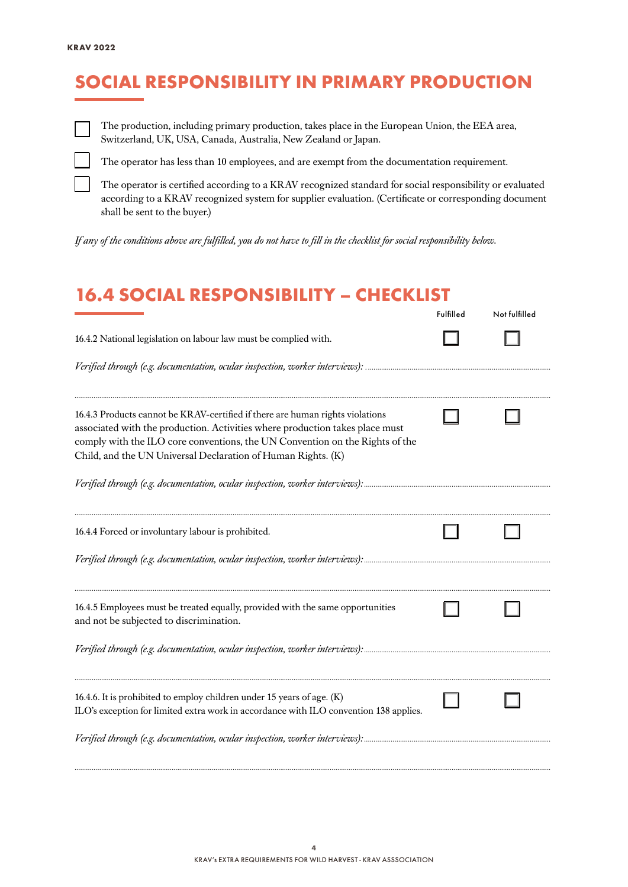# SOCIAL RESPONSIBILITY IN PRIMARY PRODUCTION



The production, including primary production, takes place in the European Union, the EEA area, Switzerland, UK, USA, Canada, Australia, New Zealand or Japan.

The operator has less than 10 employees, and are exempt from the documentation requirement.

The operator is certified according to a KRAV recognized standard for social responsibility or evaluated according to a KRAV recognized system for supplier evaluation. (Certificate or corresponding document shall be sent to the buyer.)

*If any of the conditions above are fulfilled, you do not have to fill in the checklist for social responsibility below.*

#### 16.4 SOCIAL RESPONSIBILITY – CHECKLIST

|                                                                                                                                                                                                                                                                                                               | Fulfilled | Not fulfilled |
|---------------------------------------------------------------------------------------------------------------------------------------------------------------------------------------------------------------------------------------------------------------------------------------------------------------|-----------|---------------|
| 16.4.2 National legislation on labour law must be complied with.                                                                                                                                                                                                                                              |           |               |
|                                                                                                                                                                                                                                                                                                               |           |               |
| 16.4.3 Products cannot be KRAV-certified if there are human rights violations<br>associated with the production. Activities where production takes place must<br>comply with the ILO core conventions, the UN Convention on the Rights of the<br>Child, and the UN Universal Declaration of Human Rights. (K) |           |               |
|                                                                                                                                                                                                                                                                                                               |           |               |
| 16.4.4 Forced or involuntary labour is prohibited.                                                                                                                                                                                                                                                            |           |               |
|                                                                                                                                                                                                                                                                                                               |           |               |
| 16.4.5 Employees must be treated equally, provided with the same opportunities<br>and not be subjected to discrimination.                                                                                                                                                                                     |           |               |
|                                                                                                                                                                                                                                                                                                               |           |               |
| 16.4.6. It is prohibited to employ children under 15 years of age. (K)<br>ILO's exception for limited extra work in accordance with ILO convention 138 applies.                                                                                                                                               |           |               |
| Verified through (e.g. documentation, ocular inspection, worker interviews):                                                                                                                                                                                                                                  |           |               |

*..........................................................................................................................................................................................................................................................*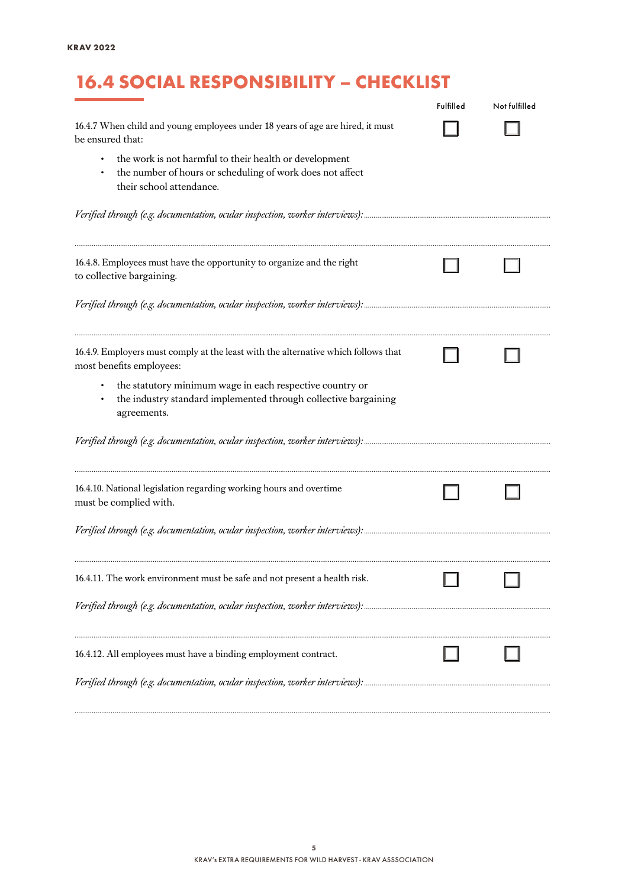# 16.4 SOCIAL RESPONSIBILITY – CHECKLIST

|                                                                                                                                                 | Fulfilled | Not fulfilled |
|-------------------------------------------------------------------------------------------------------------------------------------------------|-----------|---------------|
| 16.4.7 When child and young employees under 18 years of age are hired, it must<br>be ensured that:                                              |           |               |
| the work is not harmful to their health or development<br>the number of hours or scheduling of work does not affect<br>their school attendance. |           |               |
|                                                                                                                                                 |           |               |
| 16.4.8. Employees must have the opportunity to organize and the right<br>to collective bargaining.                                              |           |               |
|                                                                                                                                                 |           |               |
| 16.4.9. Employers must comply at the least with the alternative which follows that<br>most benefits employees:                                  |           |               |
| the statutory minimum wage in each respective country or<br>the industry standard implemented through collective bargaining<br>agreements.      |           |               |
|                                                                                                                                                 |           |               |
| 16.4.10. National legislation regarding working hours and overtime<br>must be complied with.                                                    |           |               |
|                                                                                                                                                 |           |               |
| 16.4.11. The work environment must be safe and not present a health risk.                                                                       |           |               |
|                                                                                                                                                 |           |               |
| 16.4.12. All employees must have a binding employment contract.                                                                                 |           |               |
|                                                                                                                                                 |           |               |

*..........................................................................................................................................................................................................................................................*